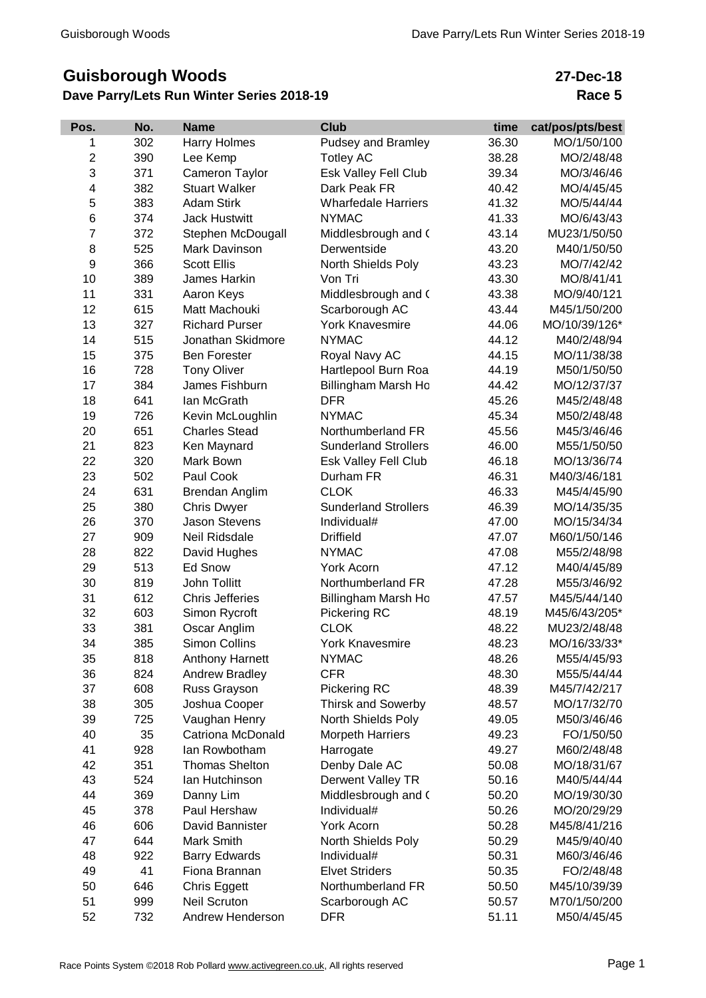## **Guisborough Woods**

## **Dave Parry/Lets Run Winter Series 2018-19**

## **27-Dec-18 Race 5**

| Pos.           | No. | <b>Name</b>            | <b>Club</b>                 | time  | cat/pos/pts/best |
|----------------|-----|------------------------|-----------------------------|-------|------------------|
| 1              | 302 | Harry Holmes           | Pudsey and Bramley          | 36.30 | MO/1/50/100      |
| $\overline{c}$ | 390 | Lee Kemp               | <b>Totley AC</b>            | 38.28 | MO/2/48/48       |
| 3              | 371 | Cameron Taylor         | Esk Valley Fell Club        | 39.34 | MO/3/46/46       |
| 4              | 382 | <b>Stuart Walker</b>   | Dark Peak FR                | 40.42 | MO/4/45/45       |
| 5              | 383 | <b>Adam Stirk</b>      | <b>Wharfedale Harriers</b>  | 41.32 | MO/5/44/44       |
| 6              | 374 | <b>Jack Hustwitt</b>   | <b>NYMAC</b>                | 41.33 | MO/6/43/43       |
| $\overline{7}$ | 372 | Stephen McDougall      | Middlesbrough and (         | 43.14 | MU23/1/50/50     |
| 8              | 525 | Mark Davinson          | Derwentside                 | 43.20 | M40/1/50/50      |
| 9              | 366 | <b>Scott Ellis</b>     | North Shields Poly          | 43.23 | MO/7/42/42       |
| 10             | 389 | James Harkin           | Von Tri                     | 43.30 | MO/8/41/41       |
| 11             | 331 | Aaron Keys             | Middlesbrough and (         | 43.38 | MO/9/40/121      |
| 12             | 615 | Matt Machouki          | Scarborough AC              | 43.44 | M45/1/50/200     |
| 13             | 327 | <b>Richard Purser</b>  | <b>York Knavesmire</b>      | 44.06 | MO/10/39/126*    |
| 14             | 515 | Jonathan Skidmore      | <b>NYMAC</b>                | 44.12 | M40/2/48/94      |
| 15             | 375 | <b>Ben Forester</b>    | Royal Navy AC               | 44.15 | MO/11/38/38      |
| 16             | 728 | <b>Tony Oliver</b>     | Hartlepool Burn Roa         | 44.19 | M50/1/50/50      |
| 17             | 384 | James Fishburn         | Billingham Marsh Ho         | 44.42 | MO/12/37/37      |
| 18             | 641 | lan McGrath            | <b>DFR</b>                  | 45.26 | M45/2/48/48      |
| 19             | 726 | Kevin McLoughlin       | <b>NYMAC</b>                | 45.34 | M50/2/48/48      |
| 20             | 651 | <b>Charles Stead</b>   | Northumberland FR           | 45.56 | M45/3/46/46      |
| 21             | 823 | Ken Maynard            | <b>Sunderland Strollers</b> | 46.00 | M55/1/50/50      |
| 22             | 320 | Mark Bown              | Esk Valley Fell Club        | 46.18 | MO/13/36/74      |
| 23             | 502 | Paul Cook              | Durham FR                   | 46.31 | M40/3/46/181     |
| 24             | 631 | <b>Brendan Anglim</b>  | <b>CLOK</b>                 | 46.33 | M45/4/45/90      |
| 25             | 380 | <b>Chris Dwyer</b>     | <b>Sunderland Strollers</b> | 46.39 | MO/14/35/35      |
| 26             | 370 | <b>Jason Stevens</b>   | Individual#                 | 47.00 | MO/15/34/34      |
| 27             | 909 | Neil Ridsdale          | <b>Driffield</b>            | 47.07 | M60/1/50/146     |
| 28             | 822 | David Hughes           | <b>NYMAC</b>                | 47.08 | M55/2/48/98      |
| 29             | 513 | Ed Snow                | York Acorn                  | 47.12 | M40/4/45/89      |
| 30             | 819 | <b>John Tollitt</b>    | Northumberland FR           | 47.28 | M55/3/46/92      |
| 31             | 612 | <b>Chris Jefferies</b> | Billingham Marsh Ho         | 47.57 | M45/5/44/140     |
| 32             | 603 | Simon Rycroft          | Pickering RC                | 48.19 | M45/6/43/205*    |
| 33             | 381 | Oscar Anglim           | <b>CLOK</b>                 | 48.22 | MU23/2/48/48     |
| 34             | 385 | Simon Collins          | <b>York Knavesmire</b>      | 48.23 | MO/16/33/33*     |
| 35             | 818 | <b>Anthony Harnett</b> | <b>NYMAC</b>                | 48.26 | M55/4/45/93      |
| 36             | 824 | <b>Andrew Bradley</b>  | <b>CFR</b>                  | 48.30 | M55/5/44/44      |
| 37             | 608 | Russ Grayson           | Pickering RC                | 48.39 | M45/7/42/217     |
| 38             | 305 | Joshua Cooper          | <b>Thirsk and Sowerby</b>   | 48.57 | MO/17/32/70      |
| 39             | 725 | Vaughan Henry          | North Shields Poly          | 49.05 | M50/3/46/46      |
| 40             | 35  | Catriona McDonald      | <b>Morpeth Harriers</b>     | 49.23 | FO/1/50/50       |
| 41             | 928 | lan Rowbotham          | Harrogate                   | 49.27 | M60/2/48/48      |
| 42             | 351 | <b>Thomas Shelton</b>  | Denby Dale AC               | 50.08 | MO/18/31/67      |
| 43             | 524 | Ian Hutchinson         | Derwent Valley TR           | 50.16 | M40/5/44/44      |
| 44             | 369 | Danny Lim              | Middlesbrough and (         | 50.20 | MO/19/30/30      |
| 45             | 378 | Paul Hershaw           | Individual#                 | 50.26 | MO/20/29/29      |
| 46             | 606 | David Bannister        | <b>York Acorn</b>           | 50.28 | M45/8/41/216     |
| 47             | 644 | Mark Smith             | North Shields Poly          | 50.29 | M45/9/40/40      |
| 48             | 922 | <b>Barry Edwards</b>   | Individual#                 | 50.31 | M60/3/46/46      |
| 49             | 41  | Fiona Brannan          | <b>Elvet Striders</b>       | 50.35 | FO/2/48/48       |
| 50             | 646 | Chris Eggett           | Northumberland FR           | 50.50 | M45/10/39/39     |
| 51             | 999 | <b>Neil Scruton</b>    | Scarborough AC              | 50.57 | M70/1/50/200     |
| 52             | 732 | Andrew Henderson       | <b>DFR</b>                  | 51.11 | M50/4/45/45      |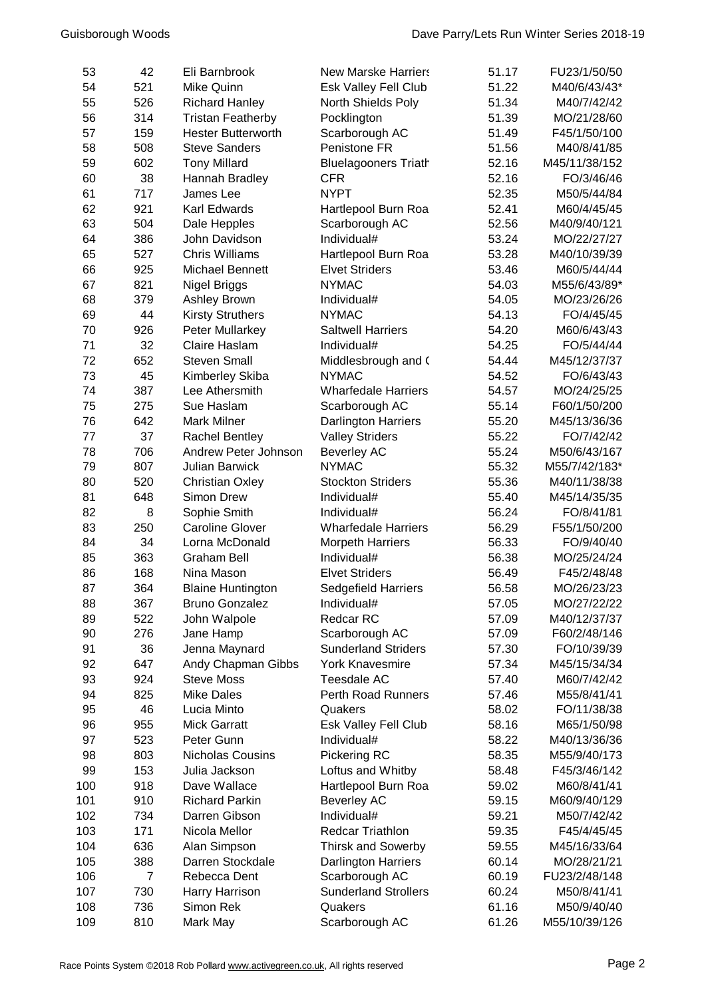| 53  | 42             | Eli Barnbrook             | <b>New Marske Harriers</b>  | 51.17 | FU23/1/50/50  |
|-----|----------------|---------------------------|-----------------------------|-------|---------------|
| 54  | 521            | Mike Quinn                | Esk Valley Fell Club        | 51.22 | M40/6/43/43*  |
| 55  | 526            | <b>Richard Hanley</b>     | North Shields Poly          | 51.34 | M40/7/42/42   |
| 56  | 314            | <b>Tristan Featherby</b>  | Pocklington                 | 51.39 | MO/21/28/60   |
| 57  | 159            | <b>Hester Butterworth</b> | Scarborough AC              | 51.49 | F45/1/50/100  |
| 58  | 508            | <b>Steve Sanders</b>      | Penistone FR                | 51.56 | M40/8/41/85   |
| 59  | 602            | <b>Tony Millard</b>       | <b>Bluelagooners Triath</b> | 52.16 | M45/11/38/152 |
| 60  | 38             | Hannah Bradley            | <b>CFR</b>                  | 52.16 | FO/3/46/46    |
| 61  | 717            | James Lee                 | <b>NYPT</b>                 | 52.35 | M50/5/44/84   |
| 62  | 921            | Karl Edwards              | Hartlepool Burn Roa         | 52.41 | M60/4/45/45   |
| 63  | 504            | Dale Hepples              | Scarborough AC              | 52.56 | M40/9/40/121  |
| 64  | 386            | John Davidson             | Individual#                 | 53.24 | MO/22/27/27   |
| 65  | 527            | <b>Chris Williams</b>     | Hartlepool Burn Roa         | 53.28 | M40/10/39/39  |
| 66  | 925            | <b>Michael Bennett</b>    | <b>Elvet Striders</b>       | 53.46 | M60/5/44/44   |
| 67  | 821            | Nigel Briggs              | <b>NYMAC</b>                | 54.03 | M55/6/43/89*  |
| 68  | 379            | <b>Ashley Brown</b>       | Individual#                 | 54.05 | MO/23/26/26   |
| 69  | 44             | <b>Kirsty Struthers</b>   | <b>NYMAC</b>                | 54.13 | FO/4/45/45    |
| 70  | 926            | Peter Mullarkey           | <b>Saltwell Harriers</b>    | 54.20 | M60/6/43/43   |
| 71  | 32             | Claire Haslam             | Individual#                 | 54.25 | FO/5/44/44    |
| 72  | 652            | <b>Steven Small</b>       | Middlesbrough and (         | 54.44 | M45/12/37/37  |
| 73  | 45             | Kimberley Skiba           | <b>NYMAC</b>                | 54.52 | FO/6/43/43    |
| 74  | 387            | Lee Athersmith            | <b>Wharfedale Harriers</b>  | 54.57 | MO/24/25/25   |
| 75  | 275            | Sue Haslam                | Scarborough AC              | 55.14 | F60/1/50/200  |
| 76  | 642            | <b>Mark Milner</b>        | <b>Darlington Harriers</b>  | 55.20 | M45/13/36/36  |
| 77  | 37             | <b>Rachel Bentley</b>     | <b>Valley Striders</b>      | 55.22 | FO/7/42/42    |
| 78  | 706            | Andrew Peter Johnson      | <b>Beverley AC</b>          | 55.24 | M50/6/43/167  |
| 79  | 807            | <b>Julian Barwick</b>     | <b>NYMAC</b>                | 55.32 | M55/7/42/183* |
| 80  | 520            | <b>Christian Oxley</b>    | <b>Stockton Striders</b>    | 55.36 | M40/11/38/38  |
| 81  | 648            | Simon Drew                | Individual#                 | 55.40 | M45/14/35/35  |
| 82  | 8              | Sophie Smith              | Individual#                 | 56.24 | FO/8/41/81    |
| 83  | 250            | <b>Caroline Glover</b>    | <b>Wharfedale Harriers</b>  | 56.29 | F55/1/50/200  |
| 84  | 34             | Lorna McDonald            | Morpeth Harriers            | 56.33 | FO/9/40/40    |
| 85  | 363            | <b>Graham Bell</b>        | Individual#                 | 56.38 | MO/25/24/24   |
| 86  | 168            | Nina Mason                | <b>Elvet Striders</b>       | 56.49 | F45/2/48/48   |
| 87  | 364            | <b>Blaine Huntington</b>  | <b>Sedgefield Harriers</b>  | 56.58 | MO/26/23/23   |
| 88  | 367            | <b>Bruno Gonzalez</b>     | Individual#                 | 57.05 | MO/27/22/22   |
| 89  | 522            | John Walpole              | Redcar RC                   | 57.09 | M40/12/37/37  |
| 90  | 276            | Jane Hamp                 | Scarborough AC              | 57.09 | F60/2/48/146  |
| 91  | 36             | Jenna Maynard             | <b>Sunderland Striders</b>  | 57.30 | FO/10/39/39   |
| 92  | 647            | Andy Chapman Gibbs        | <b>York Knavesmire</b>      | 57.34 | M45/15/34/34  |
| 93  | 924            | <b>Steve Moss</b>         | Teesdale AC                 | 57.40 | M60/7/42/42   |
| 94  | 825            | <b>Mike Dales</b>         | <b>Perth Road Runners</b>   | 57.46 | M55/8/41/41   |
| 95  | 46             | Lucia Minto               | Quakers                     | 58.02 | FO/11/38/38   |
| 96  | 955            | <b>Mick Garratt</b>       | Esk Valley Fell Club        | 58.16 | M65/1/50/98   |
| 97  | 523            | Peter Gunn                | Individual#                 | 58.22 | M40/13/36/36  |
| 98  | 803            | Nicholas Cousins          | Pickering RC                | 58.35 | M55/9/40/173  |
| 99  | 153            | Julia Jackson             | Loftus and Whitby           | 58.48 | F45/3/46/142  |
| 100 | 918            | Dave Wallace              | Hartlepool Burn Roa         | 59.02 | M60/8/41/41   |
| 101 | 910            | <b>Richard Parkin</b>     | <b>Beverley AC</b>          | 59.15 | M60/9/40/129  |
| 102 | 734            | Darren Gibson             | Individual#                 | 59.21 | M50/7/42/42   |
| 103 | 171            | Nicola Mellor             | <b>Redcar Triathlon</b>     | 59.35 | F45/4/45/45   |
| 104 | 636            | Alan Simpson              | <b>Thirsk and Sowerby</b>   | 59.55 | M45/16/33/64  |
| 105 | 388            | Darren Stockdale          | Darlington Harriers         | 60.14 | MO/28/21/21   |
| 106 | $\overline{7}$ | Rebecca Dent              | Scarborough AC              | 60.19 | FU23/2/48/148 |
| 107 | 730            | Harry Harrison            | <b>Sunderland Strollers</b> | 60.24 | M50/8/41/41   |
| 108 | 736            | Simon Rek                 | Quakers                     | 61.16 | M50/9/40/40   |
| 109 | 810            | Mark May                  | Scarborough AC              | 61.26 | M55/10/39/126 |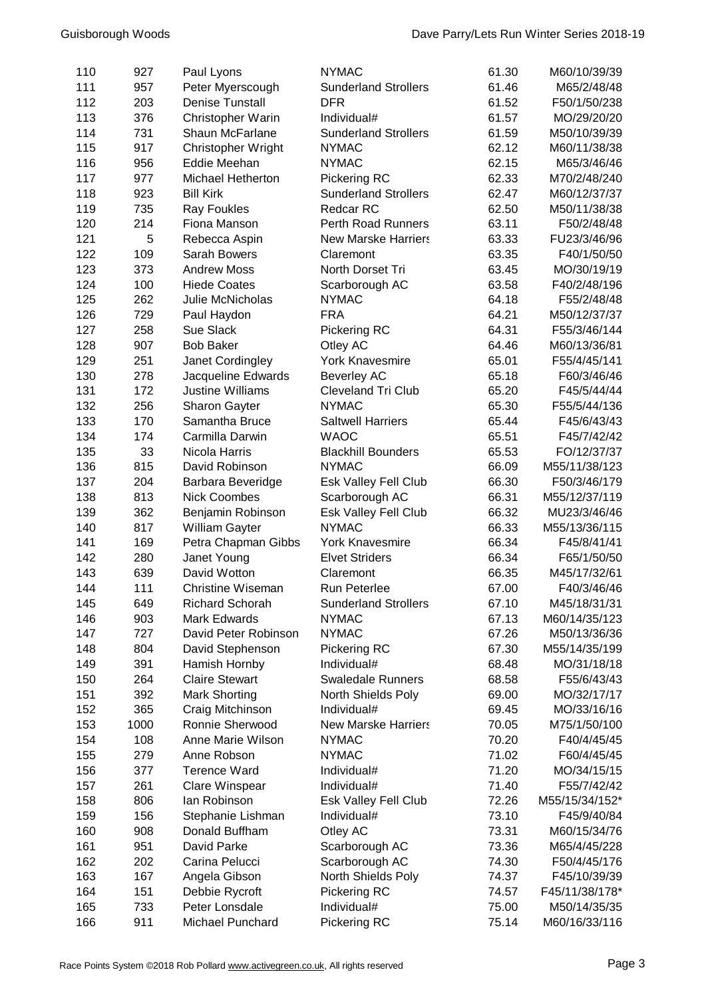| 110 | 927  | Paul Lyons               | <b>NYMAC</b>                | 61.30 | M60/10/39/39   |
|-----|------|--------------------------|-----------------------------|-------|----------------|
| 111 | 957  | Peter Myerscough         | <b>Sunderland Strollers</b> | 61.46 | M65/2/48/48    |
| 112 | 203  | <b>Denise Tunstall</b>   | <b>DFR</b>                  | 61.52 | F50/1/50/238   |
| 113 | 376  | Christopher Warin        | Individual#                 | 61.57 | MO/29/20/20    |
| 114 | 731  | Shaun McFarlane          | <b>Sunderland Strollers</b> | 61.59 | M50/10/39/39   |
| 115 | 917  | Christopher Wright       | <b>NYMAC</b>                | 62.12 | M60/11/38/38   |
| 116 | 956  | Eddie Meehan             | <b>NYMAC</b>                | 62.15 | M65/3/46/46    |
| 117 | 977  | Michael Hetherton        | Pickering RC                | 62.33 | M70/2/48/240   |
| 118 | 923  | <b>Bill Kirk</b>         | <b>Sunderland Strollers</b> | 62.47 | M60/12/37/37   |
| 119 | 735  | <b>Ray Foukles</b>       | Redcar RC                   | 62.50 | M50/11/38/38   |
| 120 | 214  | Fiona Manson             | <b>Perth Road Runners</b>   | 63.11 | F50/2/48/48    |
| 121 | 5    | Rebecca Aspin            | <b>New Marske Harriers</b>  | 63.33 | FU23/3/46/96   |
| 122 | 109  | Sarah Bowers             | Claremont                   | 63.35 | F40/1/50/50    |
| 123 | 373  | <b>Andrew Moss</b>       | North Dorset Tri            | 63.45 | MO/30/19/19    |
| 124 | 100  | <b>Hiede Coates</b>      | Scarborough AC              | 63.58 | F40/2/48/196   |
| 125 | 262  | Julie McNicholas         | <b>NYMAC</b>                | 64.18 | F55/2/48/48    |
| 126 | 729  | Paul Haydon              | <b>FRA</b>                  | 64.21 | M50/12/37/37   |
| 127 | 258  | Sue Slack                |                             | 64.31 |                |
|     |      |                          | Pickering RC                |       | F55/3/46/144   |
| 128 | 907  | <b>Bob Baker</b>         | Otley AC                    | 64.46 | M60/13/36/81   |
| 129 | 251  | Janet Cordingley         | <b>York Knavesmire</b>      | 65.01 | F55/4/45/141   |
| 130 | 278  | Jacqueline Edwards       | <b>Beverley AC</b>          | 65.18 | F60/3/46/46    |
| 131 | 172  | <b>Justine Williams</b>  | <b>Cleveland Tri Club</b>   | 65.20 | F45/5/44/44    |
| 132 | 256  | Sharon Gayter            | <b>NYMAC</b>                | 65.30 | F55/5/44/136   |
| 133 | 170  | Samantha Bruce           | <b>Saltwell Harriers</b>    | 65.44 | F45/6/43/43    |
| 134 | 174  | Carmilla Darwin          | <b>WAOC</b>                 | 65.51 | F45/7/42/42    |
| 135 | 33   | Nicola Harris            | <b>Blackhill Bounders</b>   | 65.53 | FO/12/37/37    |
| 136 | 815  | David Robinson           | <b>NYMAC</b>                | 66.09 | M55/11/38/123  |
| 137 | 204  | Barbara Beveridge        | Esk Valley Fell Club        | 66.30 | F50/3/46/179   |
| 138 | 813  | <b>Nick Coombes</b>      | Scarborough AC              | 66.31 | M55/12/37/119  |
| 139 | 362  | Benjamin Robinson        | Esk Valley Fell Club        | 66.32 | MU23/3/46/46   |
| 140 | 817  | William Gayter           | <b>NYMAC</b>                | 66.33 | M55/13/36/115  |
| 141 | 169  | Petra Chapman Gibbs      | <b>York Knavesmire</b>      | 66.34 | F45/8/41/41    |
| 142 | 280  | Janet Young              | <b>Elvet Striders</b>       | 66.34 | F65/1/50/50    |
| 143 | 639  | David Wotton             | Claremont                   | 66.35 | M45/17/32/61   |
| 144 | 111  | <b>Christine Wiseman</b> | Run Peterlee                | 67.00 | F40/3/46/46    |
| 145 | 649  | <b>Richard Schorah</b>   | <b>Sunderland Strollers</b> | 67.10 | M45/18/31/31   |
| 146 | 903  | Mark Edwards             | <b>NYMAC</b>                | 67.13 | M60/14/35/123  |
| 147 | 727  | David Peter Robinson     | <b>NYMAC</b>                | 67.26 | M50/13/36/36   |
| 148 | 804  | David Stephenson         | Pickering RC                | 67.30 | M55/14/35/199  |
| 149 | 391  | Hamish Hornby            | Individual#                 | 68.48 | MO/31/18/18    |
| 150 | 264  | <b>Claire Stewart</b>    | <b>Swaledale Runners</b>    | 68.58 | F55/6/43/43    |
| 151 | 392  | <b>Mark Shorting</b>     | North Shields Poly          | 69.00 | MO/32/17/17    |
| 152 | 365  | Craig Mitchinson         | Individual#                 | 69.45 | MO/33/16/16    |
| 153 | 1000 | Ronnie Sherwood          | <b>New Marske Harriers</b>  | 70.05 | M75/1/50/100   |
| 154 | 108  | Anne Marie Wilson        | <b>NYMAC</b>                | 70.20 | F40/4/45/45    |
| 155 | 279  | Anne Robson              | <b>NYMAC</b>                | 71.02 | F60/4/45/45    |
| 156 | 377  | <b>Terence Ward</b>      | Individual#                 | 71.20 | MO/34/15/15    |
| 157 | 261  | Clare Winspear           | Individual#                 | 71.40 | F55/7/42/42    |
| 158 | 806  | lan Robinson             | Esk Valley Fell Club        | 72.26 | M55/15/34/152* |
| 159 | 156  | Stephanie Lishman        | Individual#                 | 73.10 | F45/9/40/84    |
| 160 | 908  | Donald Buffham           | Otley AC                    | 73.31 | M60/15/34/76   |
| 161 | 951  | David Parke              | Scarborough AC              | 73.36 | M65/4/45/228   |
| 162 | 202  | Carina Pelucci           | Scarborough AC              | 74.30 | F50/4/45/176   |
| 163 | 167  | Angela Gibson            | North Shields Poly          | 74.37 | F45/10/39/39   |
| 164 | 151  | Debbie Rycroft           | Pickering RC                | 74.57 | F45/11/38/178* |
| 165 | 733  | Peter Lonsdale           | Individual#                 | 75.00 | M50/14/35/35   |
| 166 | 911  | Michael Punchard         | Pickering RC                | 75.14 | M60/16/33/116  |
|     |      |                          |                             |       |                |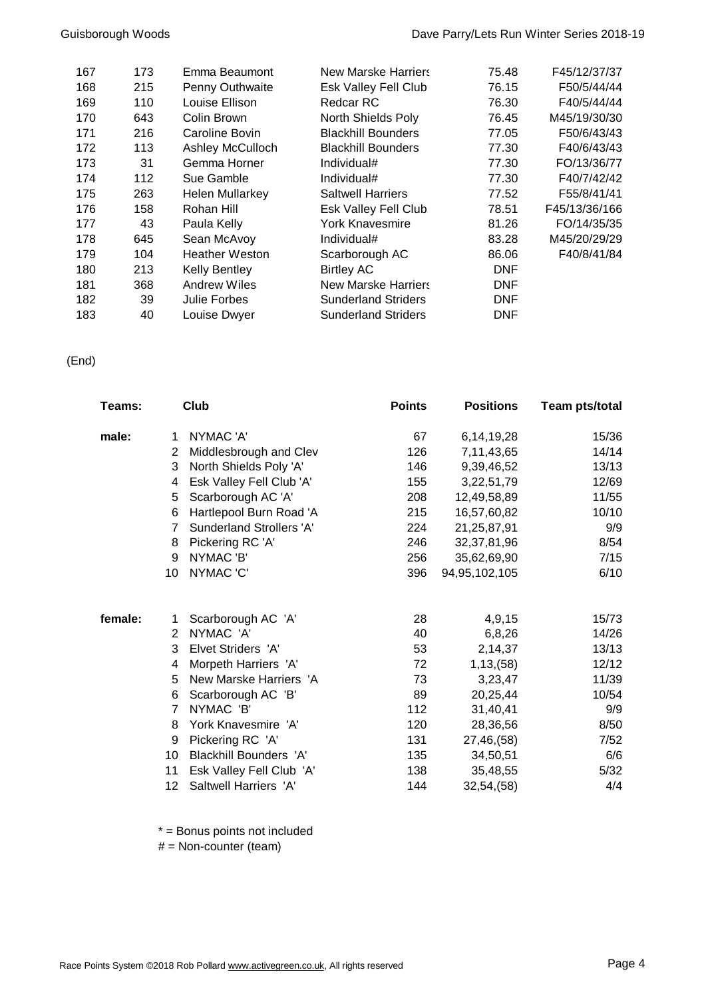| 167 | 173 | Emma Beaumont           | <b>New Marske Harriers</b> | 75.48      | F45/12/37/37  |
|-----|-----|-------------------------|----------------------------|------------|---------------|
| 168 | 215 | Penny Outhwaite         | Esk Valley Fell Club       | 76.15      | F50/5/44/44   |
| 169 | 110 | Louise Ellison          | <b>Redcar RC</b>           | 76.30      | F40/5/44/44   |
| 170 | 643 | Colin Brown             | North Shields Poly         | 76.45      | M45/19/30/30  |
| 171 | 216 | Caroline Bovin          | <b>Blackhill Bounders</b>  | 77.05      | F50/6/43/43   |
| 172 | 113 | <b>Ashley McCulloch</b> | <b>Blackhill Bounders</b>  | 77.30      | F40/6/43/43   |
| 173 | 31  | Gemma Horner            | Individual#                | 77.30      | FO/13/36/77   |
| 174 | 112 | Sue Gamble              | Individual#                | 77.30      | F40/7/42/42   |
| 175 | 263 | <b>Helen Mullarkey</b>  | <b>Saltwell Harriers</b>   | 77.52      | F55/8/41/41   |
| 176 | 158 | Rohan Hill              | Esk Valley Fell Club       | 78.51      | F45/13/36/166 |
| 177 | 43  | Paula Kelly             | York Knavesmire            | 81.26      | FO/14/35/35   |
| 178 | 645 | Sean McAvoy             | Individual#                | 83.28      | M45/20/29/29  |
| 179 | 104 | <b>Heather Weston</b>   | Scarborough AC             | 86.06      | F40/8/41/84   |
| 180 | 213 | <b>Kelly Bentley</b>    | <b>Birtley AC</b>          | <b>DNF</b> |               |
| 181 | 368 | <b>Andrew Wiles</b>     | <b>New Marske Harriers</b> | <b>DNF</b> |               |
| 182 | 39  | Julie Forbes            | <b>Sunderland Striders</b> | <b>DNF</b> |               |
| 183 | 40  | Louise Dwyer            | <b>Sunderland Striders</b> | <b>DNF</b> |               |

(End)

| Teams:  |                      | Club                          | <b>Points</b> | <b>Positions</b> | Team pts/total |
|---------|----------------------|-------------------------------|---------------|------------------|----------------|
| male:   | 1                    | NYMAC 'A'                     | 67            | 6,14,19,28       | 15/36          |
|         | $\mathbf{2}^{\circ}$ | Middlesbrough and Clev        | 126           | 7,11,43,65       | 14/14          |
|         | 3                    | North Shields Poly 'A'        | 146           | 9,39,46,52       | 13/13          |
|         | 4                    | Esk Valley Fell Club 'A'      | 155           | 3,22,51,79       | 12/69          |
|         | 5                    | Scarborough AC 'A'            | 208           | 12,49,58,89      | 11/55          |
|         | 6                    | Hartlepool Burn Road 'A       | 215           | 16,57,60,82      | 10/10          |
|         | $\overline{7}$       | Sunderland Strollers 'A'      | 224           | 21,25,87,91      | 9/9            |
|         | 8                    | Pickering RC 'A'              | 246           | 32, 37, 81, 96   | 8/54           |
|         | 9                    | NYMAC 'B'                     | 256           | 35,62,69,90      | 7/15           |
|         | 10                   | NYMAC 'C'                     | 396           | 94,95,102,105    | 6/10           |
| female: | 1                    | Scarborough AC 'A'            | 28            | 4,9,15           | 15/73          |
|         | $\overline{2}$       | NYMAC 'A'                     | 40            | 6,8,26           | 14/26          |
|         | 3                    | Elvet Striders 'A'            | 53            | 2,14,37          | 13/13          |
|         | 4                    | Morpeth Harriers 'A'          | 72            | 1, 13, 58)       | 12/12          |
|         | 5                    | New Marske Harriers 'A        | 73            | 3,23,47          | 11/39          |
|         | 6                    | Scarborough AC 'B'            | 89            | 20,25,44         | 10/54          |
|         | $\overline{7}$       | NYMAC 'B'                     | 112           | 31,40,41         | 9/9            |
|         | 8                    | York Knavesmire 'A'           | 120           | 28,36,56         | 8/50           |
|         | 9                    | Pickering RC 'A'              | 131           | 27,46,(58)       | 7/52           |
|         | 10                   | <b>Blackhill Bounders 'A'</b> | 135           | 34,50,51         | 6/6            |
|         | 11                   | Esk Valley Fell Club 'A'      | 138           | 35,48,55         | 5/32           |
|         | 12                   | Saltwell Harriers 'A'         | 144           | 32,54,(58)       | 4/4            |

\* = Bonus points not included

# = Non-counter (team)